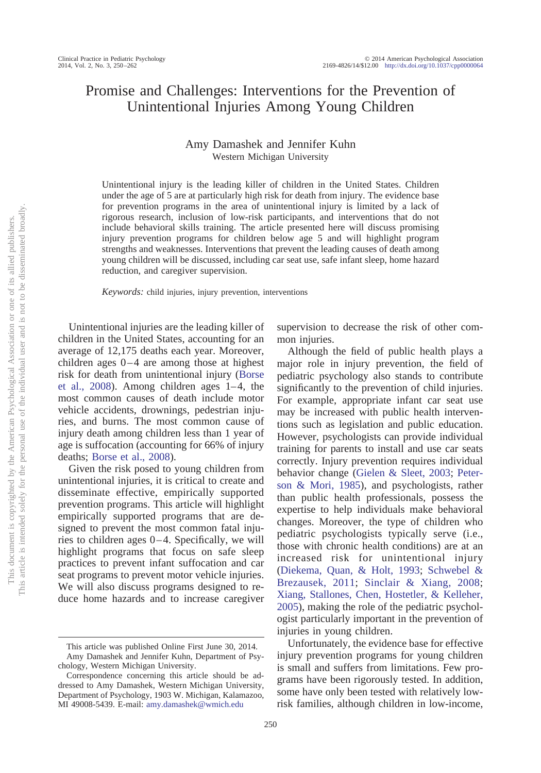# Promise and Challenges: Interventions for the Prevention of Unintentional Injuries Among Young Children

## Amy Damashek and Jennifer Kuhn Western Michigan University

Unintentional injury is the leading killer of children in the United States. Children under the age of 5 are at particularly high risk for death from injury. The evidence base for prevention programs in the area of unintentional injury is limited by a lack of rigorous research, inclusion of low-risk participants, and interventions that do not include behavioral skills training. The article presented here will discuss promising injury prevention programs for children below age 5 and will highlight program strengths and weaknesses. Interventions that prevent the leading causes of death among young children will be discussed, including car seat use, safe infant sleep, home hazard reduction, and caregiver supervision.

*Keywords:* child injuries, injury prevention, interventions

Unintentional injuries are the leading killer of children in the United States, accounting for an average of 12,175 deaths each year. Moreover, children ages 0–4 are among those at highest risk for death from unintentional injury [\(Borse](#page-10-0) [et al., 2008\)](#page-10-0). Among children ages 1–4, the most common causes of death include motor vehicle accidents, drownings, pedestrian injuries, and burns. The most common cause of injury death among children less than 1 year of age is suffocation (accounting for 66% of injury deaths; [Borse et al., 2008\)](#page-10-0).

Given the risk posed to young children from unintentional injuries, it is critical to create and disseminate effective, empirically supported prevention programs. This article will highlight empirically supported programs that are designed to prevent the most common fatal injuries to children ages 0–4. Specifically, we will highlight programs that focus on safe sleep practices to prevent infant suffocation and car seat programs to prevent motor vehicle injuries. We will also discuss programs designed to reduce home hazards and to increase caregiver supervision to decrease the risk of other common injuries.

Although the field of public health plays a major role in injury prevention, the field of pediatric psychology also stands to contribute significantly to the prevention of child injuries. For example, appropriate infant car seat use may be increased with public health interventions such as legislation and public education. However, psychologists can provide individual training for parents to install and use car seats correctly. Injury prevention requires individual behavior change [\(Gielen & Sleet, 2003;](#page-10-1) [Peter](#page-11-0)[son & Mori, 1985\)](#page-11-0), and psychologists, rather than public health professionals, possess the expertise to help individuals make behavioral changes. Moreover, the type of children who pediatric psychologists typically serve (i.e., those with chronic health conditions) are at an increased risk for unintentional injury [\(Diekema, Quan, & Holt, 1993;](#page-10-2) [Schwebel &](#page-12-0) [Brezausek, 2011;](#page-12-0) [Sinclair & Xiang, 2008;](#page-12-1) [Xiang, Stallones, Chen, Hostetler, & Kelleher,](#page-12-2) [2005\)](#page-12-2), making the role of the pediatric psychologist particularly important in the prevention of injuries in young children.

Unfortunately, the evidence base for effective injury prevention programs for young children is small and suffers from limitations. Few programs have been rigorously tested. In addition, some have only been tested with relatively lowrisk families, although children in low-income,

This article was published Online First June 30, 2014.

Amy Damashek and Jennifer Kuhn, Department of Psychology, Western Michigan University.

Correspondence concerning this article should be addressed to Amy Damashek, Western Michigan University, Department of Psychology, 1903 W. Michigan, Kalamazoo, MI 49008-5439. E-mail: [amy.damashek@wmich.edu](mailto:amy.damashek@wmich.edu)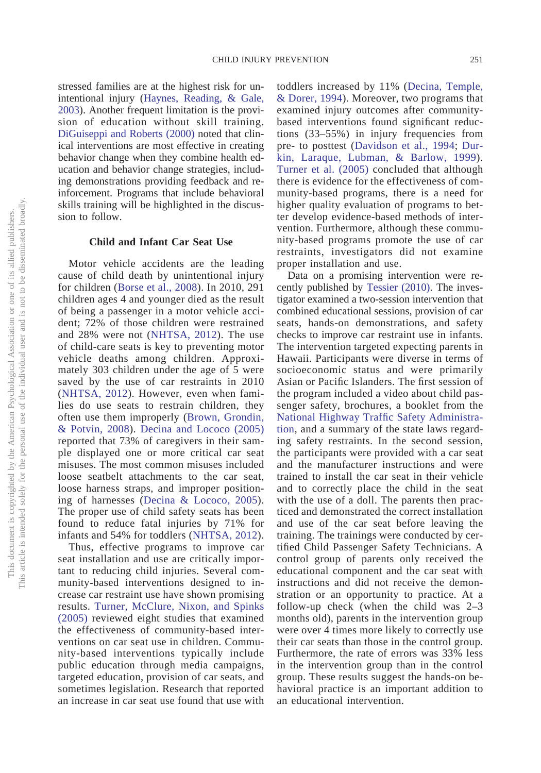stressed families are at the highest risk for unintentional injury [\(Haynes, Reading, & Gale,](#page-10-3) [2003\)](#page-10-3). Another frequent limitation is the provision of education without skill training. [DiGuiseppi and Roberts \(2000\)](#page-10-4) noted that clinical interventions are most effective in creating behavior change when they combine health education and behavior change strategies, including demonstrations providing feedback and reinforcement. Programs that include behavioral skills training will be highlighted in the discussion to follow.

#### **Child and Infant Car Seat Use**

Motor vehicle accidents are the leading cause of child death by unintentional injury for children [\(Borse et al., 2008\)](#page-10-0). In 2010, 291 children ages 4 and younger died as the result of being a passenger in a motor vehicle accident; 72% of those children were restrained and 28% were not [\(NHTSA, 2012\)](#page-11-1). The use of child-care seats is key to preventing motor vehicle deaths among children. Approximately 303 children under the age of 5 were saved by the use of car restraints in 2010 [\(NHTSA, 2012\)](#page-11-1). However, even when families do use seats to restrain children, they often use them improperly [\(Brown, Grondin,](#page-10-5) [& Potvin, 2008\)](#page-10-5). [Decina and Lococo \(2005\)](#page-10-6) reported that 73% of caregivers in their sample displayed one or more critical car seat misuses. The most common misuses included loose seatbelt attachments to the car seat, loose harness straps, and improper positioning of harnesses [\(Decina & Lococo, 2005\)](#page-10-6). The proper use of child safety seats has been found to reduce fatal injuries by 71% for infants and 54% for toddlers [\(NHTSA, 2012\)](#page-11-1).

Thus, effective programs to improve car seat installation and use are critically important to reducing child injuries. Several community-based interventions designed to increase car restraint use have shown promising results. [Turner, McClure, Nixon, and Spinks](#page-12-3) [\(2005\)](#page-12-3) reviewed eight studies that examined the effectiveness of community-based interventions on car seat use in children. Community-based interventions typically include public education through media campaigns, targeted education, provision of car seats, and sometimes legislation. Research that reported an increase in car seat use found that use with toddlers increased by 11% [\(Decina, Temple,](#page-10-7) [& Dorer, 1994\)](#page-10-7). Moreover, two programs that examined injury outcomes after communitybased interventions found significant reductions (33–55%) in injury frequencies from pre- to posttest [\(Davidson et al., 1994;](#page-10-8) [Dur](#page-10-9)[kin, Laraque, Lubman, & Barlow, 1999\)](#page-10-9). [Turner et al. \(2005\)](#page-12-3) concluded that although there is evidence for the effectiveness of community-based programs, there is a need for higher quality evaluation of programs to better develop evidence-based methods of intervention. Furthermore, although these community-based programs promote the use of car restraints, investigators did not examine proper installation and use.

Data on a promising intervention were recently published by [Tessier \(2010\).](#page-12-4) The investigator examined a two-session intervention that combined educational sessions, provision of car seats, hands-on demonstrations, and safety checks to improve car restraint use in infants. The intervention targeted expecting parents in Hawaii. Participants were diverse in terms of socioeconomic status and were primarily Asian or Pacific Islanders. The first session of the program included a video about child passenger safety, brochures, a booklet from the [National Highway Traffic Safety Administra](#page-11-1)[tion,](#page-11-1) and a summary of the state laws regarding safety restraints. In the second session, the participants were provided with a car seat and the manufacturer instructions and were trained to install the car seat in their vehicle and to correctly place the child in the seat with the use of a doll. The parents then practiced and demonstrated the correct installation and use of the car seat before leaving the training. The trainings were conducted by certified Child Passenger Safety Technicians. A control group of parents only received the educational component and the car seat with instructions and did not receive the demonstration or an opportunity to practice. At a follow-up check (when the child was 2–3 months old), parents in the intervention group were over 4 times more likely to correctly use their car seats than those in the control group. Furthermore, the rate of errors was 33% less in the intervention group than in the control group. These results suggest the hands-on behavioral practice is an important addition to an educational intervention.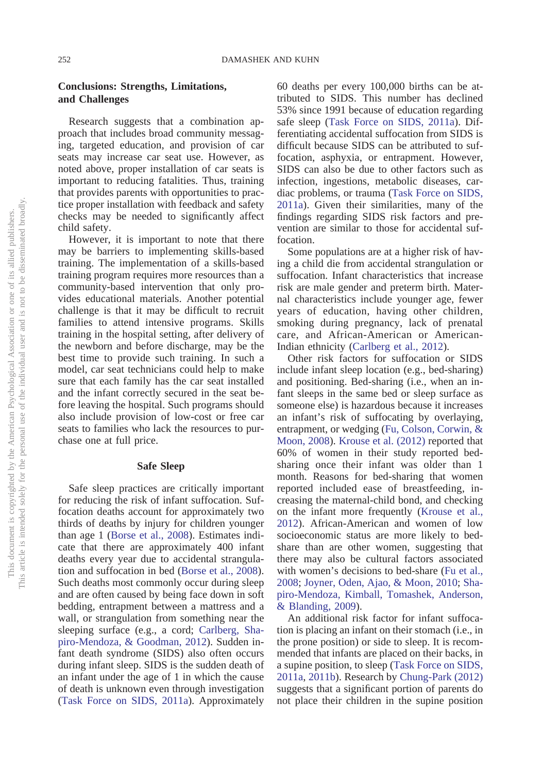### **Conclusions: Strengths, Limitations, and Challenges**

Research suggests that a combination approach that includes broad community messaging, targeted education, and provision of car seats may increase car seat use. However, as noted above, proper installation of car seats is important to reducing fatalities. Thus, training that provides parents with opportunities to practice proper installation with feedback and safety checks may be needed to significantly affect child safety.

However, it is important to note that there may be barriers to implementing skills-based training. The implementation of a skills-based training program requires more resources than a community-based intervention that only provides educational materials. Another potential challenge is that it may be difficult to recruit families to attend intensive programs. Skills training in the hospital setting, after delivery of the newborn and before discharge, may be the best time to provide such training. In such a model, car seat technicians could help to make sure that each family has the car seat installed and the infant correctly secured in the seat before leaving the hospital. Such programs should also include provision of low-cost or free car seats to families who lack the resources to purchase one at full price.

#### **Safe Sleep**

Safe sleep practices are critically important for reducing the risk of infant suffocation. Suffocation deaths account for approximately two thirds of deaths by injury for children younger than age 1 [\(Borse et al., 2008\)](#page-10-0). Estimates indicate that there are approximately 400 infant deaths every year due to accidental strangulation and suffocation in bed [\(Borse et al., 2008\)](#page-10-0). Such deaths most commonly occur during sleep and are often caused by being face down in soft bedding, entrapment between a mattress and a wall, or strangulation from something near the sleeping surface (e.g., a cord; [Carlberg, Sha](#page-10-10)[piro-Mendoza, & Goodman, 2012\)](#page-10-10). Sudden infant death syndrome (SIDS) also often occurs during infant sleep. SIDS is the sudden death of an infant under the age of 1 in which the cause of death is unknown even through investigation [\(Task Force on SIDS, 2011a\)](#page-12-5). Approximately 60 deaths per every 100,000 births can be attributed to SIDS. This number has declined 53% since 1991 because of education regarding safe sleep [\(Task Force on SIDS, 2011a\)](#page-12-5). Differentiating accidental suffocation from SIDS is difficult because SIDS can be attributed to suffocation, asphyxia, or entrapment. However, SIDS can also be due to other factors such as infection, ingestions, metabolic diseases, cardiac problems, or trauma [\(Task Force on SIDS,](#page-12-5) [2011a\)](#page-12-5). Given their similarities, many of the findings regarding SIDS risk factors and prevention are similar to those for accidental suffocation.

Some populations are at a higher risk of having a child die from accidental strangulation or suffocation. Infant characteristics that increase risk are male gender and preterm birth. Maternal characteristics include younger age, fewer years of education, having other children, smoking during pregnancy, lack of prenatal care, and African-American or American-Indian ethnicity [\(Carlberg et al., 2012\)](#page-10-10).

Other risk factors for suffocation or SIDS include infant sleep location (e.g., bed-sharing) and positioning. Bed-sharing (i.e., when an infant sleeps in the same bed or sleep surface as someone else) is hazardous because it increases an infant's risk of suffocating by overlaying, entrapment, or wedging [\(Fu, Colson, Corwin, &](#page-10-11) [Moon, 2008\)](#page-10-11). [Krouse et al. \(2012\)](#page-11-2) reported that 60% of women in their study reported bedsharing once their infant was older than 1 month. Reasons for bed-sharing that women reported included ease of breastfeeding, increasing the maternal-child bond, and checking on the infant more frequently [\(Krouse et al.,](#page-11-2) [2012\)](#page-11-2). African-American and women of low socioeconomic status are more likely to bedshare than are other women, suggesting that there may also be cultural factors associated with women's decisions to bed-share [\(Fu et al.,](#page-10-11) [2008;](#page-10-11) [Joyner, Oden, Ajao, & Moon, 2010;](#page-10-12) [Sha](#page-12-6)[piro-Mendoza, Kimball, Tomashek, Anderson,](#page-12-6) [& Blanding, 2009\)](#page-12-6).

An additional risk factor for infant suffocation is placing an infant on their stomach (i.e., in the prone position) or side to sleep. It is recommended that infants are placed on their backs, in a supine position, to sleep [\(Task Force on SIDS,](#page-12-5) [2011a,](#page-12-5) [2011b\)](#page-12-7). Research by [Chung-Park \(2012\)](#page-10-13) suggests that a significant portion of parents do not place their children in the supine position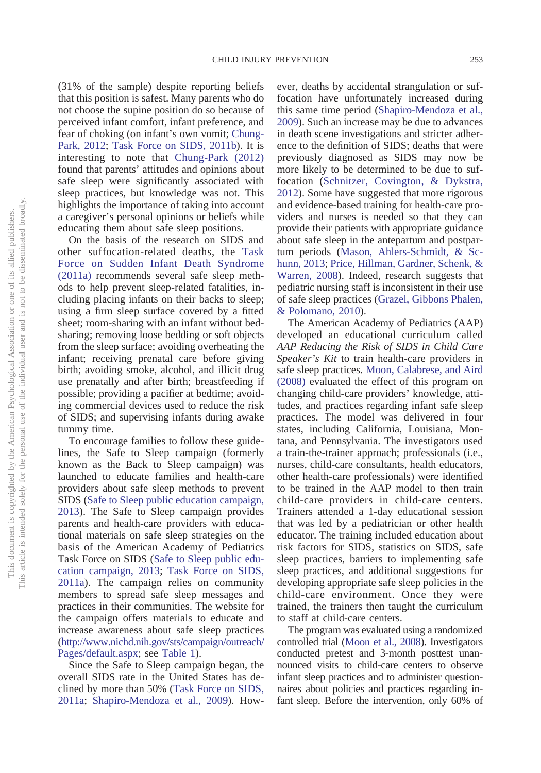(31% of the sample) despite reporting beliefs that this position is safest. Many parents who do not choose the supine position do so because of perceived infant comfort, infant preference, and fear of choking (on infant's own vomit; [Chung-](#page-10-13)[Park, 2012;](#page-10-13) [Task Force on SIDS, 2011b\)](#page-12-7). It is interesting to note that [Chung-Park \(2012\)](#page-10-13) found that parents' attitudes and opinions about safe sleep were significantly associated with sleep practices, but knowledge was not. This highlights the importance of taking into account a caregiver's personal opinions or beliefs while educating them about safe sleep positions.

On the basis of the research on SIDS and other suffocation-related deaths, the [Task](#page-12-5) [Force on Sudden Infant Death Syndrome](#page-12-5) [\(2011a\)](#page-12-5) recommends several safe sleep methods to help prevent sleep-related fatalities, including placing infants on their backs to sleep; using a firm sleep surface covered by a fitted sheet; room-sharing with an infant without bedsharing; removing loose bedding or soft objects from the sleep surface; avoiding overheating the infant; receiving prenatal care before giving birth; avoiding smoke, alcohol, and illicit drug use prenatally and after birth; breastfeeding if possible; providing a pacifier at bedtime; avoiding commercial devices used to reduce the risk of SIDS; and supervising infants during awake tummy time.

To encourage families to follow these guidelines, the Safe to Sleep campaign (formerly known as the Back to Sleep campaign) was launched to educate families and health-care providers about safe sleep methods to prevent SIDS [\(Safe to Sleep public education campaign,](#page-12-8) [2013\)](#page-12-8). The Safe to Sleep campaign provides parents and health-care providers with educational materials on safe sleep strategies on the basis of the American Academy of Pediatrics Task Force on SIDS [\(Safe to Sleep public edu](#page-12-8)[cation campaign, 2013;](#page-12-8) [Task Force on SIDS,](#page-12-5) [2011a\)](#page-12-5). The campaign relies on community members to spread safe sleep messages and practices in their communities. The website for the campaign offers materials to educate and increase awareness about safe sleep practices [\(http://www.nichd.nih.gov/sts/campaign/outreach/](http://www.nichd.nih.gov/sts/campaign/outreach/Pages/default.aspx) [Pages/default.aspx;](http://www.nichd.nih.gov/sts/campaign/outreach/Pages/default.aspx) see [Table 1\)](#page-4-0).

Since the Safe to Sleep campaign began, the overall SIDS rate in the United States has declined by more than 50% [\(Task Force on SIDS,](#page-12-5) [2011a;](#page-12-5) [Shapiro-Mendoza et al., 2009\)](#page-12-6). However, deaths by accidental strangulation or suffocation have unfortunately increased during this same time period [\(Shapiro-Mendoza et al.,](#page-12-6) [2009\)](#page-12-6). Such an increase may be due to advances in death scene investigations and stricter adherence to the definition of SIDS; deaths that were previously diagnosed as SIDS may now be more likely to be determined to be due to suffocation [\(Schnitzer, Covington, & Dykstra,](#page-12-9) [2012\)](#page-12-9). Some have suggested that more rigorous and evidence-based training for health-care providers and nurses is needed so that they can provide their patients with appropriate guidance about safe sleep in the antepartum and postpartum periods [\(Mason, Ahlers-Schmidt, & Sc](#page-11-3)[hunn, 2013;](#page-11-3) [Price, Hillman, Gardner, Schenk, &](#page-11-4) [Warren, 2008\)](#page-11-4). Indeed, research suggests that pediatric nursing staff is inconsistent in their use of safe sleep practices [\(Grazel, Gibbons Phalen,](#page-10-14) [& Polomano, 2010\)](#page-10-14).

The American Academy of Pediatrics (AAP) developed an educational curriculum called *AAP Reducing the Risk of SIDS in Child Care Speaker's Kit* to train health-care providers in safe sleep practices. [Moon, Calabrese, and Aird](#page-11-5) [\(2008\)](#page-11-5) evaluated the effect of this program on changing child-care providers' knowledge, attitudes, and practices regarding infant safe sleep practices. The model was delivered in four states, including California, Louisiana, Montana, and Pennsylvania. The investigators used a train-the-trainer approach; professionals (i.e., nurses, child-care consultants, health educators, other health-care professionals) were identified to be trained in the AAP model to then train child-care providers in child-care centers. Trainers attended a 1-day educational session that was led by a pediatrician or other health educator. The training included education about risk factors for SIDS, statistics on SIDS, safe sleep practices, barriers to implementing safe sleep practices, and additional suggestions for developing appropriate safe sleep policies in the child-care environment. Once they were trained, the trainers then taught the curriculum to staff at child-care centers.

The program was evaluated using a randomized controlled trial [\(Moon et al., 2008\)](#page-11-5). Investigators conducted pretest and 3-month posttest unannounced visits to child-care centers to observe infant sleep practices and to administer questionnaires about policies and practices regarding infant sleep. Before the intervention, only 60% of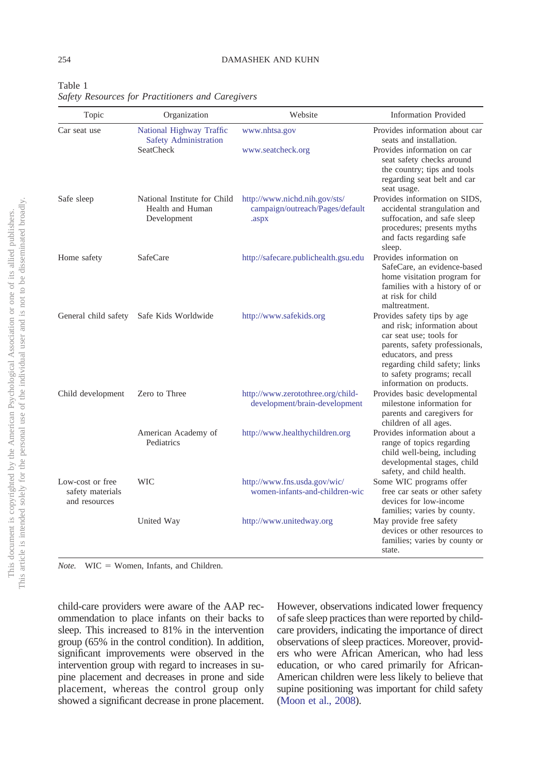| Topic                                                 | Organization                                                    | Website                                                                   | <b>Information Provided</b>                                                                                                                                                                                                                |
|-------------------------------------------------------|-----------------------------------------------------------------|---------------------------------------------------------------------------|--------------------------------------------------------------------------------------------------------------------------------------------------------------------------------------------------------------------------------------------|
| Car seat use                                          | National Highway Traffic<br><b>Safety Administration</b>        | www.nhtsa.gov                                                             | Provides information about car<br>seats and installation.                                                                                                                                                                                  |
|                                                       | <b>SeatCheck</b>                                                | www.seatcheck.org                                                         | Provides information on car<br>seat safety checks around<br>the country; tips and tools<br>regarding seat belt and car<br>seat usage.                                                                                                      |
| Safe sleep                                            | National Institute for Child<br>Health and Human<br>Development | http://www.nichd.nih.gov/sts/<br>campaign/outreach/Pages/default<br>.aspx | Provides information on SIDS,<br>accidental strangulation and<br>suffocation, and safe sleep<br>procedures; presents myths<br>and facts regarding safe<br>sleep.                                                                           |
| Home safety                                           | SafeCare                                                        | http://safecare.publichealth.gsu.edu                                      | Provides information on<br>SafeCare, an evidence-based<br>home visitation program for<br>families with a history of or<br>at risk for child<br>maltreatment.                                                                               |
|                                                       | General child safety Safe Kids Worldwide                        | http://www.safekids.org                                                   | Provides safety tips by age<br>and risk; information about<br>car seat use; tools for<br>parents, safety professionals,<br>educators, and press<br>regarding child safety; links<br>to safety programs; recall<br>information on products. |
| Child development                                     | Zero to Three                                                   | http://www.zerotothree.org/child-<br>development/brain-development        | Provides basic developmental<br>milestone information for<br>parents and caregivers for<br>children of all ages.                                                                                                                           |
|                                                       | American Academy of<br>Pediatrics                               | http://www.healthychildren.org                                            | Provides information about a<br>range of topics regarding<br>child well-being, including<br>developmental stages, child<br>safety, and child health.                                                                                       |
| Low-cost or free<br>safety materials<br>and resources | WIC                                                             | http://www.fns.usda.gov/wic/<br>women-infants-and-children-wic            | Some WIC programs offer<br>free car seats or other safety<br>devices for low-income<br>families; varies by county.                                                                                                                         |
|                                                       | United Way                                                      | http://www.unitedway.org                                                  | May provide free safety<br>devices or other resources to<br>families; varies by county or<br>state.                                                                                                                                        |

<span id="page-4-0"></span>Table 1 *Safety Resources for Practitioners and Caregivers*

*Note.* WIC = Women, Infants, and Children.

child-care providers were aware of the AAP recommendation to place infants on their backs to sleep. This increased to 81% in the intervention group (65% in the control condition). In addition, significant improvements were observed in the intervention group with regard to increases in supine placement and decreases in prone and side placement, whereas the control group only showed a significant decrease in prone placement.

However, observations indicated lower frequency of safe sleep practices than were reported by childcare providers, indicating the importance of direct observations of sleep practices. Moreover, providers who were African American, who had less education, or who cared primarily for African-American children were less likely to believe that supine positioning was important for child safety [\(Moon et al., 2008\)](#page-11-5).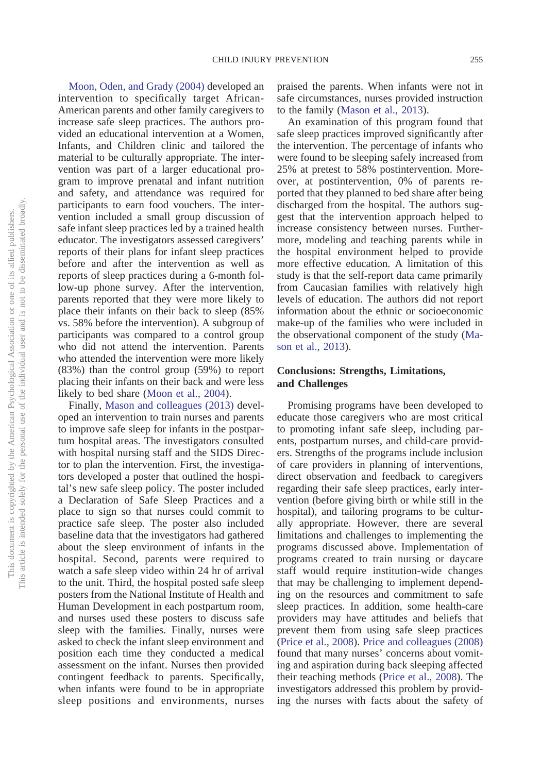[Moon, Oden, and Grady \(2004\)](#page-11-6) developed an intervention to specifically target African-American parents and other family caregivers to increase safe sleep practices. The authors provided an educational intervention at a Women, Infants, and Children clinic and tailored the material to be culturally appropriate. The intervention was part of a larger educational program to improve prenatal and infant nutrition and safety, and attendance was required for participants to earn food vouchers. The intervention included a small group discussion of safe infant sleep practices led by a trained health educator. The investigators assessed caregivers' reports of their plans for infant sleep practices before and after the intervention as well as reports of sleep practices during a 6-month follow-up phone survey. After the intervention, parents reported that they were more likely to place their infants on their back to sleep (85% vs. 58% before the intervention). A subgroup of participants was compared to a control group who did not attend the intervention. Parents who attended the intervention were more likely (83%) than the control group (59%) to report placing their infants on their back and were less likely to bed share [\(Moon et al., 2004\)](#page-11-6).

Finally, [Mason and colleagues \(2013\)](#page-11-3) developed an intervention to train nurses and parents to improve safe sleep for infants in the postpartum hospital areas. The investigators consulted with hospital nursing staff and the SIDS Director to plan the intervention. First, the investigators developed a poster that outlined the hospital's new safe sleep policy. The poster included a Declaration of Safe Sleep Practices and a place to sign so that nurses could commit to practice safe sleep. The poster also included baseline data that the investigators had gathered about the sleep environment of infants in the hospital. Second, parents were required to watch a safe sleep video within 24 hr of arrival to the unit. Third, the hospital posted safe sleep posters from the National Institute of Health and Human Development in each postpartum room, and nurses used these posters to discuss safe sleep with the families. Finally, nurses were asked to check the infant sleep environment and position each time they conducted a medical assessment on the infant. Nurses then provided contingent feedback to parents. Specifically, when infants were found to be in appropriate sleep positions and environments, nurses

praised the parents. When infants were not in safe circumstances, nurses provided instruction to the family [\(Mason et al., 2013\)](#page-11-3).

An examination of this program found that safe sleep practices improved significantly after the intervention. The percentage of infants who were found to be sleeping safely increased from 25% at pretest to 58% postintervention. Moreover, at postintervention, 0% of parents reported that they planned to bed share after being discharged from the hospital. The authors suggest that the intervention approach helped to increase consistency between nurses. Furthermore, modeling and teaching parents while in the hospital environment helped to provide more effective education. A limitation of this study is that the self-report data came primarily from Caucasian families with relatively high levels of education. The authors did not report information about the ethnic or socioeconomic make-up of the families who were included in the observational component of the study [\(Ma](#page-11-3)[son et al., 2013\)](#page-11-3).

### **Conclusions: Strengths, Limitations, and Challenges**

Promising programs have been developed to educate those caregivers who are most critical to promoting infant safe sleep, including parents, postpartum nurses, and child-care providers. Strengths of the programs include inclusion of care providers in planning of interventions, direct observation and feedback to caregivers regarding their safe sleep practices, early intervention (before giving birth or while still in the hospital), and tailoring programs to be culturally appropriate. However, there are several limitations and challenges to implementing the programs discussed above. Implementation of programs created to train nursing or daycare staff would require institution-wide changes that may be challenging to implement depending on the resources and commitment to safe sleep practices. In addition, some health-care providers may have attitudes and beliefs that prevent them from using safe sleep practices [\(Price et al., 2008\)](#page-11-4). [Price and colleagues \(2008\)](#page-11-4) found that many nurses' concerns about vomiting and aspiration during back sleeping affected their teaching methods [\(Price et al., 2008\)](#page-11-4). The investigators addressed this problem by providing the nurses with facts about the safety of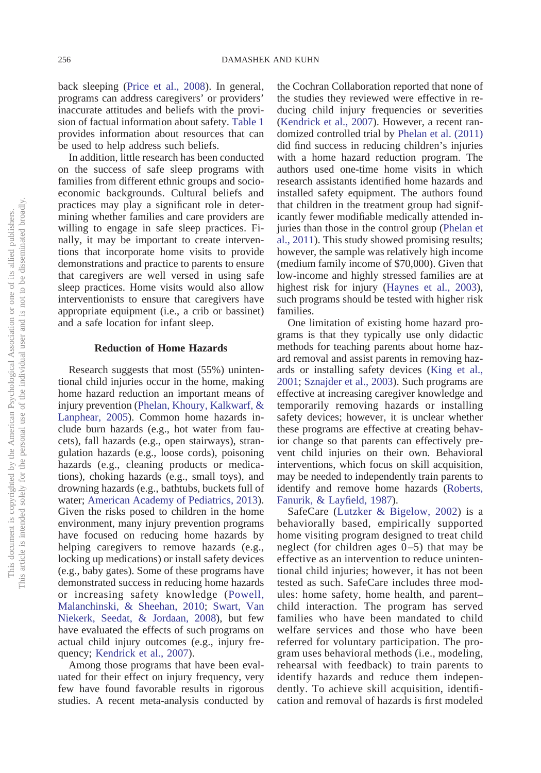back sleeping [\(Price et al., 2008\)](#page-11-4). In general, programs can address caregivers' or providers' inaccurate attitudes and beliefs with the provision of factual information about safety. [Table 1](#page-4-0) provides information about resources that can be used to help address such beliefs.

In addition, little research has been conducted on the success of safe sleep programs with families from different ethnic groups and socioeconomic backgrounds. Cultural beliefs and practices may play a significant role in determining whether families and care providers are willing to engage in safe sleep practices. Finally, it may be important to create interventions that incorporate home visits to provide demonstrations and practice to parents to ensure that caregivers are well versed in using safe sleep practices. Home visits would also allow interventionists to ensure that caregivers have appropriate equipment (i.e., a crib or bassinet) and a safe location for infant sleep.

#### **Reduction of Home Hazards**

Research suggests that most (55%) unintentional child injuries occur in the home, making home hazard reduction an important means of injury prevention [\(Phelan, Khoury, Kalkwarf, &](#page-11-7) [Lanphear, 2005\)](#page-11-7). Common home hazards include burn hazards (e.g., hot water from faucets), fall hazards (e.g., open stairways), strangulation hazards (e.g., loose cords), poisoning hazards (e.g., cleaning products or medications), choking hazards (e.g., small toys), and drowning hazards (e.g., bathtubs, buckets full of water; [American Academy of Pediatrics, 2013\)](#page-10-15). Given the risks posed to children in the home environment, many injury prevention programs have focused on reducing home hazards by helping caregivers to remove hazards (e.g., locking up medications) or install safety devices (e.g., baby gates). Some of these programs have demonstrated success in reducing home hazards or increasing safety knowledge [\(Powell,](#page-11-8) [Malanchinski, & Sheehan, 2010;](#page-11-8) [Swart, Van](#page-12-10) [Niekerk, Seedat, & Jordaan, 2008\)](#page-12-10), but few have evaluated the effects of such programs on actual child injury outcomes (e.g., injury frequency; [Kendrick et al., 2007\)](#page-11-9).

Among those programs that have been evaluated for their effect on injury frequency, very few have found favorable results in rigorous studies. A recent meta-analysis conducted by

the Cochran Collaboration reported that none of the studies they reviewed were effective in reducing child injury frequencies or severities [\(Kendrick et al., 2007\)](#page-11-9). However, a recent randomized controlled trial by [Phelan et al. \(2011\)](#page-11-10) did find success in reducing children's injuries with a home hazard reduction program. The authors used one-time home visits in which research assistants identified home hazards and installed safety equipment. The authors found that children in the treatment group had significantly fewer modifiable medically attended injuries than those in the control group [\(Phelan et](#page-11-10) [al., 2011\)](#page-11-10). This study showed promising results; however, the sample was relatively high income (medium family income of \$70,000). Given that low-income and highly stressed families are at highest risk for injury [\(Haynes et al., 2003\)](#page-10-3), such programs should be tested with higher risk families.

One limitation of existing home hazard programs is that they typically use only didactic methods for teaching parents about home hazard removal and assist parents in removing hazards or installing safety devices [\(King et al.,](#page-11-11) [2001;](#page-11-11) [Sznajder et al., 2003\)](#page-12-11). Such programs are effective at increasing caregiver knowledge and temporarily removing hazards or installing safety devices; however, it is unclear whether these programs are effective at creating behavior change so that parents can effectively prevent child injuries on their own. Behavioral interventions, which focus on skill acquisition, may be needed to independently train parents to identify and remove home hazards [\(Roberts,](#page-11-12) [Fanurik, & Layfield, 1987\)](#page-11-12).

SafeCare [\(Lutzker & Bigelow, 2002\)](#page-11-13) is a behaviorally based, empirically supported home visiting program designed to treat child neglect (for children ages 0–5) that may be effective as an intervention to reduce unintentional child injuries; however, it has not been tested as such. SafeCare includes three modules: home safety, home health, and parent– child interaction. The program has served families who have been mandated to child welfare services and those who have been referred for voluntary participation. The program uses behavioral methods (i.e., modeling, rehearsal with feedback) to train parents to identify hazards and reduce them independently. To achieve skill acquisition, identification and removal of hazards is first modeled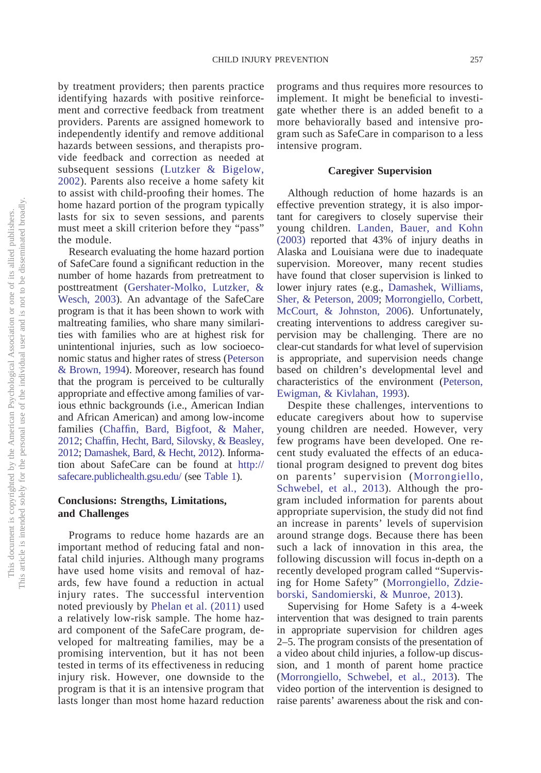by treatment providers; then parents practice identifying hazards with positive reinforcement and corrective feedback from treatment providers. Parents are assigned homework to independently identify and remove additional hazards between sessions, and therapists provide feedback and correction as needed at subsequent sessions [\(Lutzker & Bigelow,](#page-11-13) [2002\)](#page-11-13). Parents also receive a home safety kit to assist with child-proofing their homes. The home hazard portion of the program typically lasts for six to seven sessions, and parents must meet a skill criterion before they "pass" the module.

Research evaluating the home hazard portion of SafeCare found a significant reduction in the number of home hazards from pretreatment to posttreatment [\(Gershater-Molko, Lutzker, &](#page-10-16) [Wesch, 2003\)](#page-10-16). An advantage of the SafeCare program is that it has been shown to work with maltreating families, who share many similarities with families who are at highest risk for unintentional injuries, such as low socioeconomic status and higher rates of stress [\(Peterson](#page-11-14) [& Brown, 1994\)](#page-11-14). Moreover, research has found that the program is perceived to be culturally appropriate and effective among families of various ethnic backgrounds (i.e., American Indian and African American) and among low-income families [\(Chaffin, Bard, Bigfoot, & Maher,](#page-10-17) [2012;](#page-10-17) [Chaffin, Hecht, Bard, Silovsky, & Beasley,](#page-10-18) [2012;](#page-10-18) [Damashek, Bard, & Hecht, 2012\)](#page-10-19). Information about SafeCare can be found at [http://](http://safecare.publichealth.gsu.edu/) [safecare.publichealth.gsu.edu/](http://safecare.publichealth.gsu.edu/) (see [Table 1\)](#page-4-0).

### **Conclusions: Strengths, Limitations, and Challenges**

Programs to reduce home hazards are an important method of reducing fatal and nonfatal child injuries. Although many programs have used home visits and removal of hazards, few have found a reduction in actual injury rates. The successful intervention noted previously by [Phelan et al. \(2011\)](#page-11-10) used a relatively low-risk sample. The home hazard component of the SafeCare program, developed for maltreating families, may be a promising intervention, but it has not been tested in terms of its effectiveness in reducing injury risk. However, one downside to the program is that it is an intensive program that lasts longer than most home hazard reduction programs and thus requires more resources to implement. It might be beneficial to investigate whether there is an added benefit to a more behaviorally based and intensive program such as SafeCare in comparison to a less intensive program.

#### **Caregiver Supervision**

Although reduction of home hazards is an effective prevention strategy, it is also important for caregivers to closely supervise their young children. [Landen, Bauer, and Kohn](#page-11-15) [\(2003\)](#page-11-15) reported that 43% of injury deaths in Alaska and Louisiana were due to inadequate supervision. Moreover, many recent studies have found that closer supervision is linked to lower injury rates (e.g., [Damashek, Williams,](#page-10-20) [Sher, & Peterson, 2009;](#page-10-20) [Morrongiello, Corbett,](#page-11-16) [McCourt, & Johnston, 2006\)](#page-11-16). Unfortunately, creating interventions to address caregiver supervision may be challenging. There are no clear-cut standards for what level of supervision is appropriate, and supervision needs change based on children's developmental level and characteristics of the environment [\(Peterson,](#page-11-17) [Ewigman, & Kivlahan, 1993\)](#page-11-17).

Despite these challenges, interventions to educate caregivers about how to supervise young children are needed. However, very few programs have been developed. One recent study evaluated the effects of an educational program designed to prevent dog bites on parents' supervision [\(Morrongiello,](#page-11-18) [Schwebel, et al., 2013\)](#page-11-18). Although the program included information for parents about appropriate supervision, the study did not find an increase in parents' levels of supervision around strange dogs. Because there has been such a lack of innovation in this area, the following discussion will focus in-depth on a recently developed program called "Supervising for Home Safety" [\(Morrongiello, Zdzie](#page-11-19)[borski, Sandomierski, & Munroe, 2013\)](#page-11-19).

Supervising for Home Safety is a 4-week intervention that was designed to train parents in appropriate supervision for children ages 2–5. The program consists of the presentation of a video about child injuries, a follow-up discussion, and 1 month of parent home practice [\(Morrongiello, Schwebel, et al., 2013\)](#page-11-18). The video portion of the intervention is designed to raise parents' awareness about the risk and con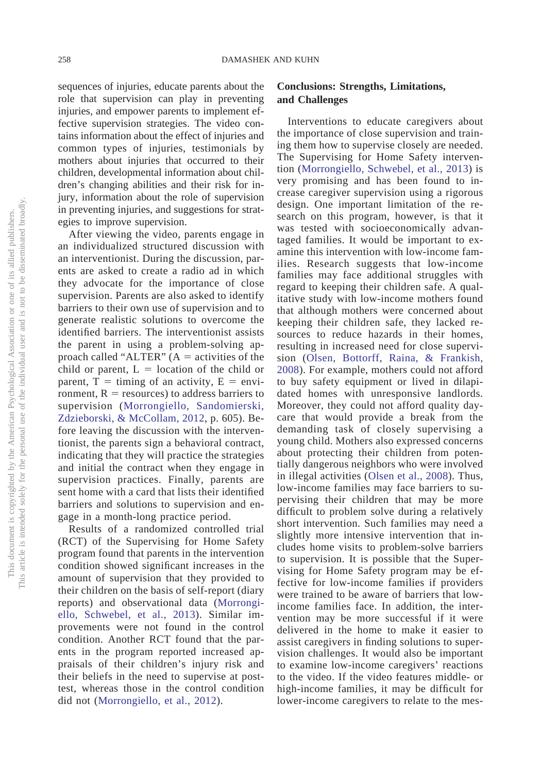sequences of injuries, educate parents about the role that supervision can play in preventing injuries, and empower parents to implement effective supervision strategies. The video contains information about the effect of injuries and common types of injuries, testimonials by mothers about injuries that occurred to their children, developmental information about children's changing abilities and their risk for injury, information about the role of supervision in preventing injuries, and suggestions for strategies to improve supervision.

After viewing the video, parents engage in an individualized structured discussion with an interventionist. During the discussion, parents are asked to create a radio ad in which they advocate for the importance of close supervision. Parents are also asked to identify barriers to their own use of supervision and to generate realistic solutions to overcome the identified barriers. The interventionist assists the parent in using a problem-solving approach called " $ALTER$ " ( $A =$  activities of the child or parent,  $L =$  location of the child or parent,  $T =$  timing of an activity,  $E =$  environment,  $R =$  resources) to address barriers to supervision [\(Morrongiello, Sandomierski,](#page-11-20) [Zdzieborski, & McCollam, 2012,](#page-11-20) p. 605). Before leaving the discussion with the interventionist, the parents sign a behavioral contract, indicating that they will practice the strategies and initial the contract when they engage in supervision practices. Finally, parents are sent home with a card that lists their identified barriers and solutions to supervision and engage in a month-long practice period.

Results of a randomized controlled trial (RCT) of the Supervising for Home Safety program found that parents in the intervention condition showed significant increases in the amount of supervision that they provided to their children on the basis of self-report (diary reports) and observational data [\(Morrongi](#page-11-18)[ello, Schwebel, et al., 2013\)](#page-11-18). Similar improvements were not found in the control condition. Another RCT found that the parents in the program reported increased appraisals of their children's injury risk and their beliefs in the need to supervise at posttest, whereas those in the control condition did not [\(Morrongiello, et al., 2012\)](#page-11-20).

### **Conclusions: Strengths, Limitations, and Challenges**

Interventions to educate caregivers about the importance of close supervision and training them how to supervise closely are needed. The Supervising for Home Safety intervention [\(Morrongiello, Schwebel, et al., 2013\)](#page-11-18) is very promising and has been found to increase caregiver supervision using a rigorous design. One important limitation of the research on this program, however, is that it was tested with socioeconomically advantaged families. It would be important to examine this intervention with low-income families. Research suggests that low-income families may face additional struggles with regard to keeping their children safe. A qualitative study with low-income mothers found that although mothers were concerned about keeping their children safe, they lacked resources to reduce hazards in their homes, resulting in increased need for close supervision [\(Olsen, Bottorff, Raina, & Frankish,](#page-11-21) [2008\)](#page-11-21). For example, mothers could not afford to buy safety equipment or lived in dilapidated homes with unresponsive landlords. Moreover, they could not afford quality daycare that would provide a break from the demanding task of closely supervising a young child. Mothers also expressed concerns about protecting their children from potentially dangerous neighbors who were involved in illegal activities [\(Olsen et al., 2008\)](#page-11-21). Thus, low-income families may face barriers to supervising their children that may be more difficult to problem solve during a relatively short intervention. Such families may need a slightly more intensive intervention that includes home visits to problem-solve barriers to supervision. It is possible that the Supervising for Home Safety program may be effective for low-income families if providers were trained to be aware of barriers that lowincome families face. In addition, the intervention may be more successful if it were delivered in the home to make it easier to assist caregivers in finding solutions to supervision challenges. It would also be important to examine low-income caregivers' reactions to the video. If the video features middle- or high-income families, it may be difficult for lower-income caregivers to relate to the mes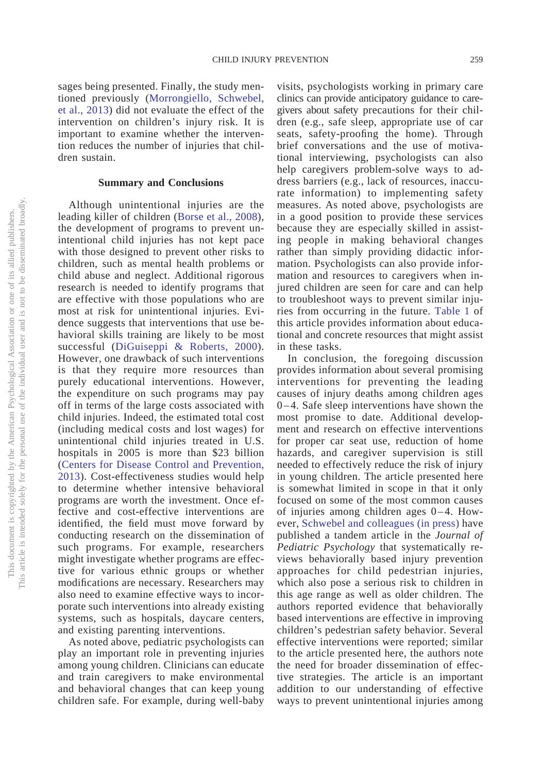sages being presented. Finally, the study mentioned previously [\(Morrongiello, Schwebel,](#page-11-18) [et al., 2013\)](#page-11-18) did not evaluate the effect of the intervention on children's injury risk. It is important to examine whether the intervention reduces the number of injuries that children sustain.

#### **Summary and Conclusions**

Although unintentional injuries are the leading killer of children [\(Borse et al., 2008\)](#page-10-0), the development of programs to prevent unintentional child injuries has not kept pace with those designed to prevent other risks to children, such as mental health problems or child abuse and neglect. Additional rigorous research is needed to identify programs that are effective with those populations who are most at risk for unintentional injuries. Evidence suggests that interventions that use behavioral skills training are likely to be most successful [\(DiGuiseppi & Roberts, 2000\)](#page-10-4). However, one drawback of such interventions is that they require more resources than purely educational interventions. However, the expenditure on such programs may pay off in terms of the large costs associated with child injuries. Indeed, the estimated total cost (including medical costs and lost wages) for unintentional child injuries treated in U.S. hospitals in 2005 is more than \$23 billion [\(Centers for Disease Control and Prevention,](#page-10-21) [2013\)](#page-10-21). Cost-effectiveness studies would help to determine whether intensive behavioral programs are worth the investment. Once effective and cost-effective interventions are identified, the field must move forward by conducting research on the dissemination of such programs. For example, researchers might investigate whether programs are effective for various ethnic groups or whether modifications are necessary. Researchers may also need to examine effective ways to incorporate such interventions into already existing systems, such as hospitals, daycare centers, and existing parenting interventions.

As noted above, pediatric psychologists can play an important role in preventing injuries among young children. Clinicians can educate and train caregivers to make environmental and behavioral changes that can keep young children safe. For example, during well-baby

visits, psychologists working in primary care clinics can provide anticipatory guidance to caregivers about safety precautions for their children (e.g., safe sleep, appropriate use of car seats, safety-proofing the home). Through brief conversations and the use of motivational interviewing, psychologists can also help caregivers problem-solve ways to address barriers (e.g., lack of resources, inaccurate information) to implementing safety measures. As noted above, psychologists are in a good position to provide these services because they are especially skilled in assisting people in making behavioral changes rather than simply providing didactic information. Psychologists can also provide information and resources to caregivers when injured children are seen for care and can help to troubleshoot ways to prevent similar injuries from occurring in the future. [Table 1](#page-4-0) of this article provides information about educational and concrete resources that might assist in these tasks.

In conclusion, the foregoing discussion provides information about several promising interventions for preventing the leading causes of injury deaths among children ages 0–4. Safe sleep interventions have shown the most promise to date. Additional development and research on effective interventions for proper car seat use, reduction of home hazards, and caregiver supervision is still needed to effectively reduce the risk of injury in young children. The article presented here is somewhat limited in scope in that it only focused on some of the most common causes of injuries among children ages 0–4. However, [Schwebel and colleagues \(in press\)](#page-12-12) have published a tandem article in the *Journal of Pediatric Psychology* that systematically reviews behaviorally based injury prevention approaches for child pedestrian injuries, which also pose a serious risk to children in this age range as well as older children. The authors reported evidence that behaviorally based interventions are effective in improving children's pedestrian safety behavior. Several effective interventions were reported; similar to the article presented here, the authors note the need for broader dissemination of effective strategies. The article is an important addition to our understanding of effective ways to prevent unintentional injuries among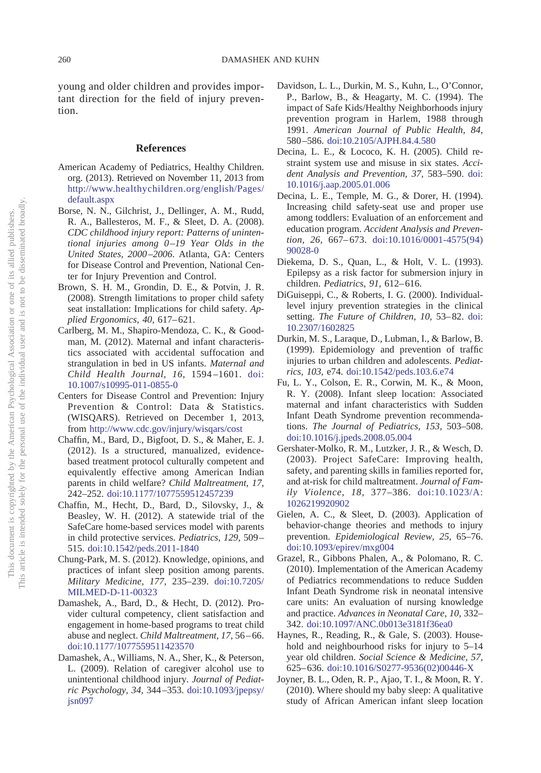young and older children and provides important direction for the field of injury prevention.

#### **References**

- <span id="page-10-15"></span>American Academy of Pediatrics, Healthy Children. org. (2013). Retrieved on November 11, 2013 from [http://www.healthychildren.org/english/Pages/](http://www.healthychildren.org/english/Pages/default.aspx) [default.aspx](http://www.healthychildren.org/english/Pages/default.aspx)
- <span id="page-10-0"></span>Borse, N. N., Gilchrist, J., Dellinger, A. M., Rudd, R. A., Ballesteros, M. F., & Sleet, D. A. (2008). *CDC childhood injury report: Patterns of unintentional injuries among 0–19 Year Olds in the United States, 2000–2006*. Atlanta, GA: Centers for Disease Control and Prevention, National Center for Injury Prevention and Control.
- <span id="page-10-5"></span>Brown, S. H. M., Grondin, D. E., & Potvin, J. R. (2008). Strength limitations to proper child safety seat installation: Implications for child safety. *Applied Ergonomics, 40,* 617–621.
- <span id="page-10-10"></span>Carlberg, M. M., Shapiro-Mendoza, C. K., & Goodman, M. (2012). Maternal and infant characteristics associated with accidental suffocation and strangulation in bed in US infants. *Maternal and Child Health Journal, 16,* 1594–1601. [doi:](http://dx.doi.org/10.1007/s10995-011-0855-0) [10.1007/s10995-011-0855-0](http://dx.doi.org/10.1007/s10995-011-0855-0)
- <span id="page-10-21"></span>Centers for Disease Control and Prevention: Injury Prevention & Control: Data & Statistics. (WISQARS). Retrieved on December 1, 2013, from <http://www.cdc.gov/injury/wisqars/cost>
- <span id="page-10-17"></span>Chaffin, M., Bard, D., Bigfoot, D. S., & Maher, E. J. (2012). Is a structured, manualized, evidencebased treatment protocol culturally competent and equivalently effective among American Indian parents in child welfare? *Child Maltreatment, 17,* 242–252. [doi:10.1177/1077559512457239](http://dx.doi.org/10.1177/1077559512457239)
- <span id="page-10-18"></span>Chaffin, M., Hecht, D., Bard, D., Silovsky, J., & Beasley, W. H. (2012). A statewide trial of the SafeCare home-based services model with parents in child protective services. *Pediatrics, 129,* 509– 515. [doi:10.1542/peds.2011-1840](http://dx.doi.org/10.1542/peds.2011-1840)
- <span id="page-10-13"></span>Chung-Park, M. S. (2012). Knowledge, opinions, and practices of infant sleep position among parents. *Military Medicine, 177,* 235–239. [doi:10.7205/](http://dx.doi.org/10.7205/MILMED-D-11-00323) [MILMED-D-11-00323](http://dx.doi.org/10.7205/MILMED-D-11-00323)
- <span id="page-10-19"></span>Damashek, A., Bard, D., & Hecht, D. (2012). Provider cultural competency, client satisfaction and engagement in home-based programs to treat child abuse and neglect. *Child Maltreatment, 17,* 56–66. [doi:10.1177/1077559511423570](http://dx.doi.org/10.1177/1077559511423570)
- <span id="page-10-20"></span>Damashek, A., Williams, N. A., Sher, K., & Peterson, L. (2009). Relation of caregiver alcohol use to unintentional childhood injury. *Journal of Pediatric Psychology, 34,* 344–353. [doi:10.1093/jpepsy/](http://dx.doi.org/10.1093/jpepsy/jsn097) [jsn097](http://dx.doi.org/10.1093/jpepsy/jsn097)
- <span id="page-10-8"></span>Davidson, L. L., Durkin, M. S., Kuhn, L., O'Connor, P., Barlow, B., & Heagarty, M. C. (1994). The impact of Safe Kids/Healthy Neighborhoods injury prevention program in Harlem, 1988 through 1991. *American Journal of Public Health, 84,* 580–586. [doi:10.2105/AJPH.84.4.580](http://dx.doi.org/10.2105/AJPH.84.4.580)
- <span id="page-10-6"></span>Decina, L. E., & Lococo, K. H. (2005). Child restraint system use and misuse in six states. *Accident Analysis and Prevention, 37,* 583–590. [doi:](http://dx.doi.org/10.1016/j.aap.2005.01.006) [10.1016/j.aap.2005.01.006](http://dx.doi.org/10.1016/j.aap.2005.01.006)
- <span id="page-10-7"></span>Decina, L. E., Temple, M. G., & Dorer, H. (1994). Increasing child safety-seat use and proper use among toddlers: Evaluation of an enforcement and education program. *Accident Analysis and Prevention, 26,* 667–673. [doi:10.1016/0001-4575\(94\)](http://dx.doi.org/10.1016/0001-4575%2894%2990028-0) [90028-0](http://dx.doi.org/10.1016/0001-4575%2894%2990028-0)
- <span id="page-10-2"></span>Diekema, D. S., Quan, L., & Holt, V. L. (1993). Epilepsy as a risk factor for submersion injury in children. *Pediatrics, 91,* 612–616.
- <span id="page-10-4"></span>DiGuiseppi, C., & Roberts, I. G. (2000). Individuallevel injury prevention strategies in the clinical setting. *The Future of Children, 10,* 53–82. [doi:](http://dx.doi.org/10.2307/1602825) [10.2307/1602825](http://dx.doi.org/10.2307/1602825)
- <span id="page-10-9"></span>Durkin, M. S., Laraque, D., Lubman, I., & Barlow, B. (1999). Epidemiology and prevention of traffic injuries to urban children and adolescents. *Pediatrics, 103,* e74. [doi:10.1542/peds.103.6.e74](http://dx.doi.org/10.1542/peds.103.6.e74)
- <span id="page-10-11"></span>Fu, L. Y., Colson, E. R., Corwin, M. K., & Moon, R. Y. (2008). Infant sleep location: Associated maternal and infant characteristics with Sudden Infant Death Syndrome prevention recommendations. *The Journal of Pediatrics, 153,* 503–508. [doi:10.1016/j.jpeds.2008.05.004](http://dx.doi.org/10.1016/j.jpeds.2008.05.004)
- <span id="page-10-16"></span>Gershater-Molko, R. M., Lutzker, J. R., & Wesch, D. (2003). Project SafeCare: Improving health, safety, and parenting skills in families reported for, and at-risk for child maltreatment. *Journal of Family Violence, 18,* 377–386. [doi:10.1023/A:](http://dx.doi.org/10.1023/A:1026219920902) [1026219920902](http://dx.doi.org/10.1023/A:1026219920902)
- <span id="page-10-1"></span>Gielen, A. C., & Sleet, D. (2003). Application of behavior-change theories and methods to injury prevention. *Epidemiological Review, 25,* 65–76. [doi:10.1093/epirev/mxg004](http://dx.doi.org/10.1093/epirev/mxg004)
- <span id="page-10-14"></span>Grazel, R., Gibbons Phalen, A., & Polomano, R. C. (2010). Implementation of the American Academy of Pediatrics recommendations to reduce Sudden Infant Death Syndrome risk in neonatal intensive care units: An evaluation of nursing knowledge and practice. *Advances in Neonatal Care, 10,* 332– 342. [doi:10.1097/ANC.0b013e3181f36ea0](http://dx.doi.org/10.1097/ANC.0b013e3181f36ea0)
- <span id="page-10-3"></span>Haynes, R., Reading, R., & Gale, S. (2003). Household and neighbourhood risks for injury to 5–14 year old children. *Social Science & Medicine, 57,* 625–636. [doi:10.1016/S0277-9536\(02\)00446-X](http://dx.doi.org/10.1016/S0277-9536%2802%2900446-X)
- <span id="page-10-12"></span>Joyner, B. L., Oden, R. P., Ajao, T. I., & Moon, R. Y. (2010). Where should my baby sleep: A qualitative study of African American infant sleep location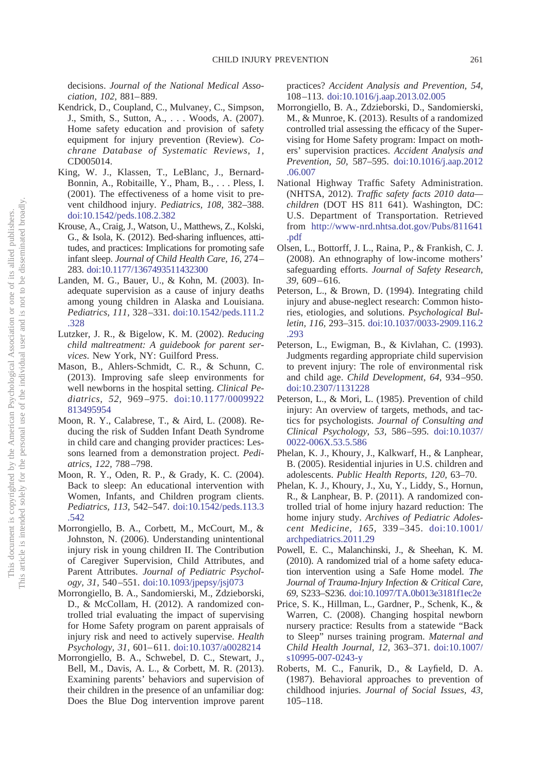decisions. *Journal of the National Medical Association, 102,* 881–889.

- <span id="page-11-9"></span>Kendrick, D., Coupland, C., Mulvaney, C., Simpson, J., Smith, S., Sutton, A.,... Woods, A. (2007). Home safety education and provision of safety equipment for injury prevention (Review). *Cochrane Database of Systematic Reviews, 1,* CD005014.
- <span id="page-11-11"></span>King, W. J., Klassen, T., LeBlanc, J., Bernard-Bonnin, A., Robitaille, Y., Pham, B.,... Pless, I. (2001). The effectiveness of a home visit to prevent childhood injury. *Pediatrics, 108,* 382–388. [doi:10.1542/peds.108.2.382](http://dx.doi.org/10.1542/peds.108.2.382)
- <span id="page-11-2"></span>Krouse, A., Craig, J., Watson, U., Matthews, Z., Kolski, G., & Isola, K. (2012). Bed-sharing influences, attitudes, and practices: Implications for promoting safe infant sleep. *Journal of Child Health Care, 16,* 274– 283. [doi:10.1177/1367493511432300](http://dx.doi.org/10.1177/1367493511432300)
- <span id="page-11-15"></span>Landen, M. G., Bauer, U., & Kohn, M. (2003). Inadequate supervision as a cause of injury deaths among young children in Alaska and Louisiana. *Pediatrics, 111,* 328–331. [doi:10.1542/peds.111.2](http://dx.doi.org/10.1542/peds.111.2.328) [.328](http://dx.doi.org/10.1542/peds.111.2.328)
- <span id="page-11-13"></span>Lutzker, J. R., & Bigelow, K. M. (2002). *Reducing child maltreatment: A guidebook for parent services*. New York, NY: Guilford Press.
- <span id="page-11-3"></span>Mason, B., Ahlers-Schmidt, C. R., & Schunn, C. (2013). Improving safe sleep environments for well newborns in the hospital setting. *Clinical Pediatrics, 52,* 969–975. [doi:10.1177/0009922](http://dx.doi.org/10.1177/0009922813495954) [813495954](http://dx.doi.org/10.1177/0009922813495954)
- <span id="page-11-5"></span>Moon, R. Y., Calabrese, T., & Aird, L. (2008). Reducing the risk of Sudden Infant Death Syndrome in child care and changing provider practices: Lessons learned from a demonstration project. *Pediatrics, 122,* 788–798.
- <span id="page-11-6"></span>Moon, R. Y., Oden, R. P., & Grady, K. C. (2004). Back to sleep: An educational intervention with Women, Infants, and Children program clients. *Pediatrics, 113,* 542–547. [doi:10.1542/peds.113.3](http://dx.doi.org/10.1542/peds.113.3.542) [.542](http://dx.doi.org/10.1542/peds.113.3.542)
- <span id="page-11-16"></span>Morrongiello, B. A., Corbett, M., McCourt, M., & Johnston, N. (2006). Understanding unintentional injury risk in young children II. The Contribution of Caregiver Supervision, Child Attributes, and Parent Attributes. *Journal of Pediatric Psychology, 31,* 540–551. [doi:10.1093/jpepsy/jsj073](http://dx.doi.org/10.1093/jpepsy/jsj073)
- <span id="page-11-20"></span>Morrongiello, B. A., Sandomierski, M., Zdzieborski, D., & McCollam, H. (2012). A randomized controlled trial evaluating the impact of supervising for Home Safety program on parent appraisals of injury risk and need to actively supervise. *Health Psychology, 31,* 601–611. [doi:10.1037/a0028214](http://dx.doi.org/10.1037/a0028214)
- <span id="page-11-18"></span>Morrongiello, B. A., Schwebel, D. C., Stewart, J., Bell, M., Davis, A. L., & Corbett, M. R. (2013). Examining parents' behaviors and supervision of their children in the presence of an unfamiliar dog: Does the Blue Dog intervention improve parent

practices? *Accident Analysis and Prevention, 54,* 108–113. [doi:10.1016/j.aap.2013.02.005](http://dx.doi.org/10.1016/j.aap.2013.02.005)

- <span id="page-11-19"></span>Morrongiello, B. A., Zdzieborski, D., Sandomierski, M., & Munroe, K. (2013). Results of a randomized controlled trial assessing the efficacy of the Supervising for Home Safety program: Impact on mothers' supervision practices. *Accident Analysis and Prevention, 50,* 587–595. [doi:10.1016/j.aap.2012](http://dx.doi.org/10.1016/j.aap.2012.06.007) [.06.007](http://dx.doi.org/10.1016/j.aap.2012.06.007)
- <span id="page-11-1"></span>National Highway Traffic Safety Administration. (NHTSA, 2012). *Traffic safety facts 2010 data children* (DOT HS 811 641). Washington, DC: U.S. Department of Transportation. Retrieved from [http://www-nrd.nhtsa.dot.gov/Pubs/811641](http://www-nrd.nhtsa.dot.gov/Pubs/811641.pdf) [.pdf](http://www-nrd.nhtsa.dot.gov/Pubs/811641.pdf)
- <span id="page-11-21"></span>Olsen, L., Bottorff, J. L., Raina, P., & Frankish, C. J. (2008). An ethnography of low-income mothers' safeguarding efforts. *Journal of Safety Research, 39,* 609–616.
- <span id="page-11-14"></span>Peterson, L., & Brown, D. (1994). Integrating child injury and abuse-neglect research: Common histories, etiologies, and solutions. *Psychological Bulletin, 116,* 293–315. [doi:10.1037/0033-2909.116.2](http://dx.doi.org/10.1037/0033-2909.116.2.293) [.293](http://dx.doi.org/10.1037/0033-2909.116.2.293)
- <span id="page-11-17"></span>Peterson, L., Ewigman, B., & Kivlahan, C. (1993). Judgments regarding appropriate child supervision to prevent injury: The role of environmental risk and child age. *Child Development, 64,* 934–950. [doi:10.2307/1131228](http://dx.doi.org/10.2307/1131228)
- <span id="page-11-0"></span>Peterson, L., & Mori, L. (1985). Prevention of child injury: An overview of targets, methods, and tactics for psychologists. *Journal of Consulting and Clinical Psychology, 53,* 586–595. [doi:10.1037/](http://dx.doi.org/10.1037/0022-006X.53.5.586) [0022-006X.53.5.586](http://dx.doi.org/10.1037/0022-006X.53.5.586)
- <span id="page-11-7"></span>Phelan, K. J., Khoury, J., Kalkwarf, H., & Lanphear, B. (2005). Residential injuries in U.S. children and adolescents. *Public Health Reports, 120,* 63–70.
- <span id="page-11-10"></span>Phelan, K. J., Khoury, J., Xu, Y., Liddy, S., Hornun, R., & Lanphear, B. P. (2011). A randomized controlled trial of home injury hazard reduction: The home injury study. *Archives of Pediatric Adolescent Medicine, 165,* 339–345. [doi:10.1001/](http://dx.doi.org/10.1001/archpediatrics.2011.29) [archpediatrics.2011.29](http://dx.doi.org/10.1001/archpediatrics.2011.29)
- <span id="page-11-8"></span>Powell, E. C., Malanchinski, J., & Sheehan, K. M. (2010). A randomized trial of a home safety education intervention using a Safe Home model. *The Journal of Trauma-Injury Infection & Critical Care, 69,* S233–S236. [doi:10.1097/TA.0b013e3181f1ec2e](http://dx.doi.org/10.1097/TA.0b013e3181f1ec2e)
- <span id="page-11-4"></span>Price, S. K., Hillman, L., Gardner, P., Schenk, K., & Warren, C. (2008). Changing hospital newborn nursery practice: Results from a statewide "Back to Sleep" nurses training program. *Maternal and Child Health Journal, 12,* 363–371. [doi:10.1007/](http://dx.doi.org/10.1007/s10995-007-0243-y) [s10995-007-0243-y](http://dx.doi.org/10.1007/s10995-007-0243-y)
- <span id="page-11-12"></span>Roberts, M. C., Fanurik, D., & Layfield, D. A. (1987). Behavioral approaches to prevention of childhood injuries. *Journal of Social Issues, 43,* 105–118.